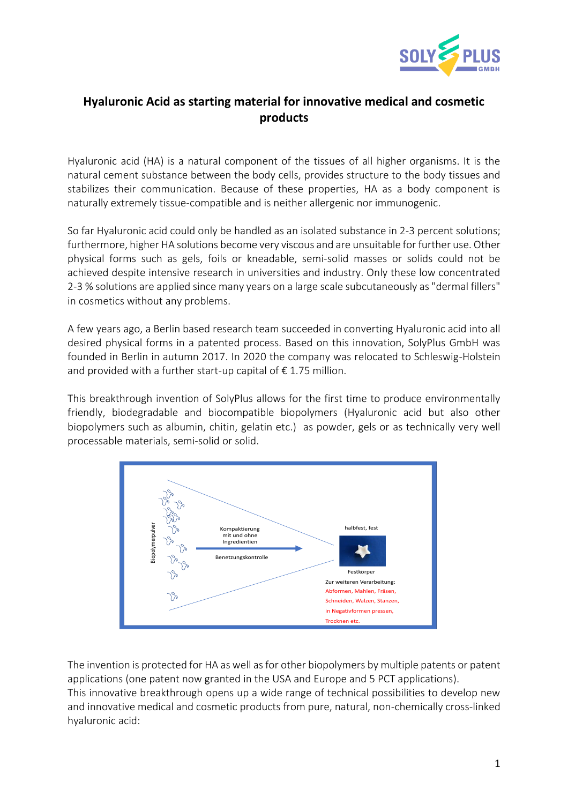

## **Hyaluronic Acid as starting material for innovative medical and cosmetic products**

Hyaluronic acid (HA) is a natural component of the tissues of all higher organisms. It is the natural cement substance between the body cells, provides structure to the body tissues and stabilizes their communication. Because of these properties, HA as a body component is naturally extremely tissue-compatible and is neither allergenic nor immunogenic.

So far Hyaluronic acid could only be handled as an isolated substance in 2-3 percent solutions; furthermore, higher HA solutions become very viscous and are unsuitable for further use. Other physical forms such as gels, foils or kneadable, semi-solid masses or solids could not be achieved despite intensive research in universities and industry. Only these low concentrated 2-3 % solutions are applied since many years on a large scale subcutaneously as "dermal fillers" in cosmetics without any problems.

A few years ago, a Berlin based research team succeeded in converting Hyaluronic acid into all desired physical forms in a patented process. Based on this innovation, SolyPlus GmbH was founded in Berlin in autumn 2017. In 2020 the company was relocated to Schleswig-Holstein and provided with a further start-up capital of  $\epsilon$  1.75 million.

This breakthrough invention of SolyPlus allows for the first time to produce environmentally friendly, biodegradable and biocompatible biopolymers (Hyaluronic acid but also other biopolymers such as albumin, chitin, gelatin etc.) as powder, gels or as technically very well processable materials, semi-solid or solid.



The invention is protected for HA as well as for other biopolymers by multiple patents or patent applications (one patent now granted in the USA and Europe and 5 PCT applications).

This innovative breakthrough opens up a wide range of technical possibilities to develop new and innovative medical and cosmetic products from pure, natural, non-chemically cross-linked hyaluronic acid: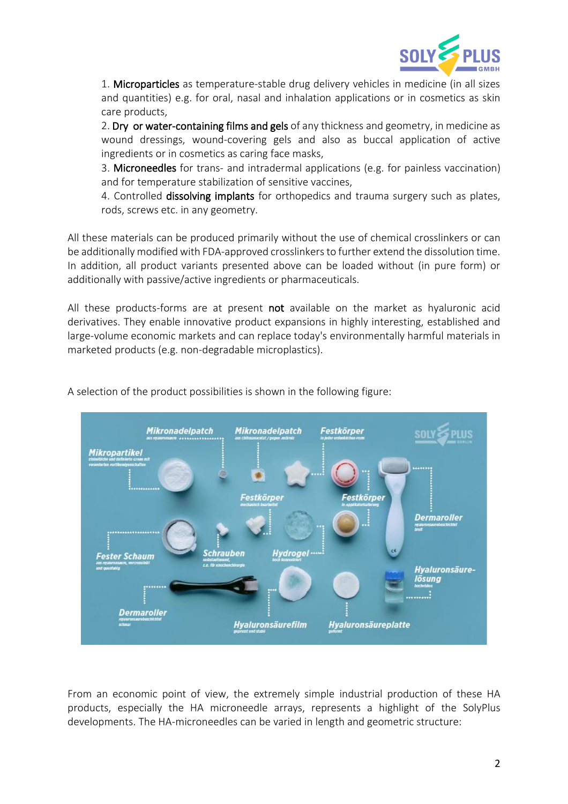

1. Microparticles as temperature-stable drug delivery vehicles in medicine (in all sizes and quantities) e.g. for oral, nasal and inhalation applications or in cosmetics as skin care products,

2. Dry or water-containing films and gels of any thickness and geometry, in medicine as wound dressings, wound-covering gels and also as buccal application of active ingredients or in cosmetics as caring face masks,

3. Microneedles for trans- and intradermal applications (e.g. for painless vaccination) and for temperature stabilization of sensitive vaccines,

4. Controlled dissolving implants for orthopedics and trauma surgery such as plates, rods, screws etc. in any geometry.

All these materials can be produced primarily without the use of chemical crosslinkers or can be additionally modified with FDA-approved crosslinkers to further extend the dissolution time. In addition, all product variants presented above can be loaded without (in pure form) or additionally with passive/active ingredients or pharmaceuticals.

All these products-forms are at present not available on the market as hyaluronic acid derivatives. They enable innovative product expansions in highly interesting, established and large-volume economic markets and can replace today's environmentally harmful materials in marketed products (e.g. non-degradable microplastics).



A selection of the product possibilities is shown in the following figure:

From an economic point of view, the extremely simple industrial production of these HA products, especially the HA microneedle arrays, represents a highlight of the SolyPlus developments. The HA-microneedles can be varied in length and geometric structure: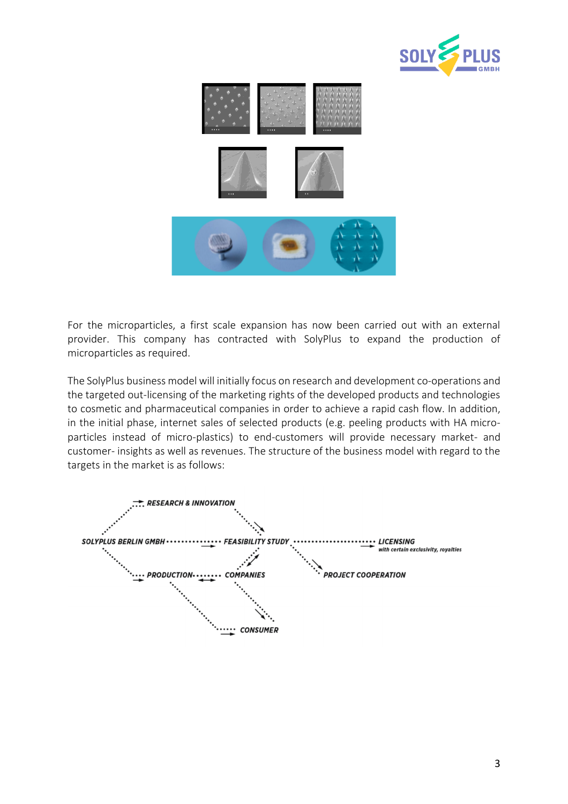



For the microparticles, a first scale expansion has now been carried out with an external provider. This company has contracted with SolyPlus to expand the production of microparticles as required.

The SolyPlus business model will initially focus on research and development co-operations and the targeted out-licensing of the marketing rights of the developed products and technologies to cosmetic and pharmaceutical companies in order to achieve a rapid cash flow. In addition, in the initial phase, internet sales of selected products (e.g. peeling products with HA microparticles instead of micro-plastics) to end-customers will provide necessary market- and customer- insights as well as revenues. The structure of the business model with regard to the targets in the market is as follows: